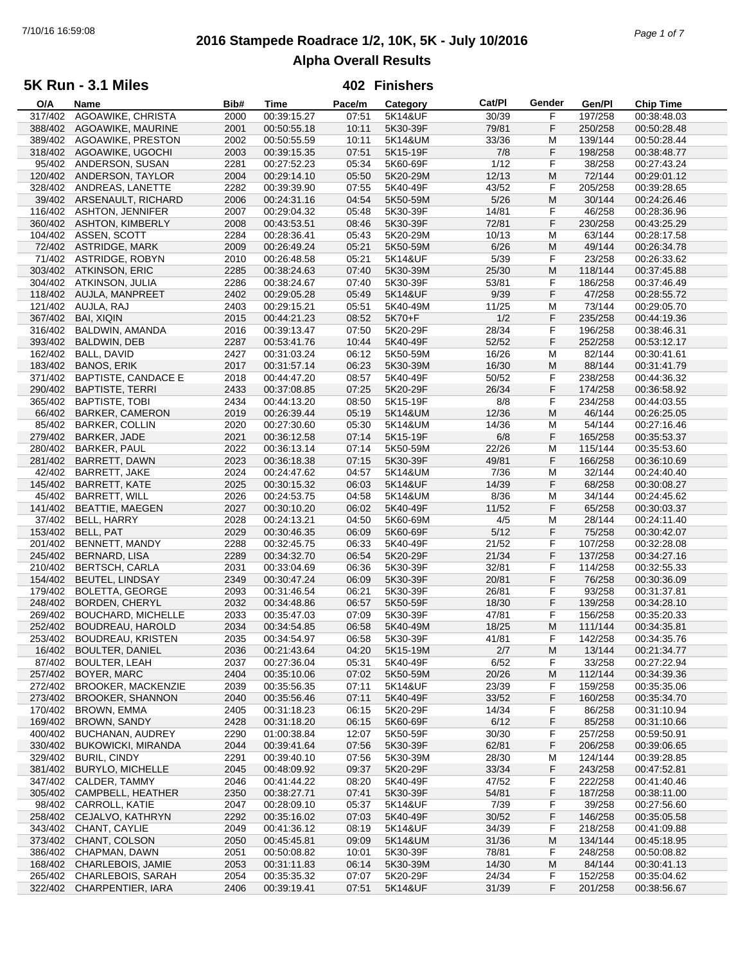# **2016 Stampede Roadrace 1/2, 10K, 5K - July 10/2016** 7/10/16 16:59:08 *Page 1 of 7* **Alpha Overall Results**

## **5K Run - 3.1 Miles**

| O/A     | Name                       | Bib# | <b>Time</b> | Pace/m | Category | Cat/PI | Gender | Gen/Pl  | <b>Chip Time</b> |
|---------|----------------------------|------|-------------|--------|----------|--------|--------|---------|------------------|
| 317/402 | AGOAWIKE, CHRISTA          | 2000 | 00:39:15.27 | 07:51  | 5K14&UF  | 30/39  | F      | 197/258 | 00:38:48.03      |
| 388/402 | AGOAWIKE, MAURINE          | 2001 | 00:50:55.18 | 10:11  | 5K30-39F | 79/81  | F      | 250/258 | 00:50:28.48      |
| 389/402 | AGOAWIKE, PRESTON          | 2002 | 00:50:55.59 | 10:11  | 5K14&UM  | 33/36  | М      | 139/144 | 00:50:28.44      |
| 318/402 | AGOAWIKE, UGOCHI           | 2003 | 00:39:15.35 | 07:51  | 5K15-19F | 7/8    | F      | 198/258 | 00:38:48.77      |
| 95/402  |                            |      |             | 05:34  | 5K60-69F | 1/12   | F      |         |                  |
|         | ANDERSON, SUSAN            | 2281 | 00:27:52.23 |        |          |        |        | 38/258  | 00:27:43.24      |
| 120/402 | ANDERSON, TAYLOR           | 2004 | 00:29:14.10 | 05:50  | 5K20-29M | 12/13  | M      | 72/144  | 00:29:01.12      |
| 328/402 | ANDREAS, LANETTE           | 2282 | 00:39:39.90 | 07:55  | 5K40-49F | 43/52  | F      | 205/258 | 00:39:28.65      |
| 39/402  | ARSENAULT, RICHARD         | 2006 | 00:24:31.16 | 04:54  | 5K50-59M | $5/26$ | M      | 30/144  | 00:24:26.46      |
| 116/402 | <b>ASHTON, JENNIFER</b>    | 2007 | 00:29:04.32 | 05:48  | 5K30-39F | 14/81  | F      | 46/258  | 00:28:36.96      |
| 360/402 | <b>ASHTON, KIMBERLY</b>    | 2008 | 00:43:53.51 | 08:46  | 5K30-39F | 72/81  | F      | 230/258 | 00:43:25.29      |
| 104/402 | ASSEN, SCOTT               | 2284 | 00:28:36.41 | 05:43  | 5K20-29M | 10/13  | M      | 63/144  | 00:28:17.58      |
| 72/402  | <b>ASTRIDGE, MARK</b>      | 2009 | 00:26:49.24 | 05:21  | 5K50-59M | 6/26   | M      | 49/144  | 00:26:34.78      |
| 71/402  | <b>ASTRIDGE, ROBYN</b>     | 2010 | 00:26:48.58 | 05:21  | 5K14&UF  | 5/39   | F      | 23/258  | 00:26:33.62      |
| 303/402 |                            |      | 00:38:24.63 |        |          |        | M      |         | 00:37:45.88      |
|         | <b>ATKINSON, ERIC</b>      | 2285 |             | 07:40  | 5K30-39M | 25/30  |        | 118/144 |                  |
| 304/402 | ATKINSON, JULIA            | 2286 | 00:38:24.67 | 07:40  | 5K30-39F | 53/81  | F      | 186/258 | 00:37:46.49      |
| 118/402 | AUJLA, MANPREET            | 2402 | 00:29:05.28 | 05:49  | 5K14&UF  | 9/39   | F      | 47/258  | 00:28:55.72      |
| 121/402 | AUJLA, RAJ                 | 2403 | 00:29:15.21 | 05:51  | 5K40-49M | 11/25  | М      | 73/144  | 00:29:05.70      |
| 367/402 | <b>BAI, XIQIN</b>          | 2015 | 00:44:21.23 | 08:52  | 5K70+F   | 1/2    | F      | 235/258 | 00:44:19.36      |
| 316/402 | BALDWIN, AMANDA            | 2016 | 00:39:13.47 | 07:50  | 5K20-29F | 28/34  | F      | 196/258 | 00:38:46.31      |
| 393/402 | BALDWIN, DEB               | 2287 | 00:53:41.76 | 10:44  | 5K40-49F | 52/52  | F      | 252/258 | 00:53:12.17      |
| 162/402 | BALL, DAVID                | 2427 | 00:31:03.24 | 06:12  | 5K50-59M | 16/26  | М      | 82/144  | 00:30:41.61      |
| 183/402 | <b>BANOS, ERIK</b>         | 2017 | 00:31:57.14 | 06:23  | 5K30-39M | 16/30  | M      | 88/144  | 00:31:41.79      |
|         |                            |      | 00:44:47.20 |        |          |        | F      | 238/258 |                  |
| 371/402 | <b>BAPTISTE, CANDACE E</b> | 2018 |             | 08:57  | 5K40-49F | 50/52  |        |         | 00:44:36.32      |
| 290/402 | <b>BAPTISTE, TERRI</b>     | 2433 | 00:37:08.85 | 07:25  | 5K20-29F | 26/34  | F      | 174/258 | 00:36:58.92      |
| 365/402 | <b>BAPTISTE, TOBI</b>      | 2434 | 00:44:13.20 | 08:50  | 5K15-19F | 8/8    | F      | 234/258 | 00:44:03.55      |
| 66/402  | <b>BARKER, CAMERON</b>     | 2019 | 00:26:39.44 | 05:19  | 5K14&UM  | 12/36  | M      | 46/144  | 00:26:25.05      |
| 85/402  | <b>BARKER, COLLIN</b>      | 2020 | 00:27:30.60 | 05:30  | 5K14&UM  | 14/36  | M      | 54/144  | 00:27:16.46      |
| 279/402 | BARKER, JADE               | 2021 | 00:36:12.58 | 07:14  | 5K15-19F | 6/8    | F      | 165/258 | 00:35:53.37      |
| 280/402 | <b>BARKER, PAUL</b>        | 2022 | 00:36:13.14 | 07:14  | 5K50-59M | 22/26  | M      | 115/144 | 00:35:53.60      |
| 281/402 | BARRETT, DAWN              | 2023 | 00:36:18.38 | 07:15  | 5K30-39F | 49/81  | F      | 166/258 | 00:36:10.69      |
| 42/402  | BARRETT, JAKE              | 2024 | 00:24:47.62 | 04:57  | 5K14&UM  | 7/36   | M      | 32/144  | 00:24:40.40      |
| 145/402 | <b>BARRETT, KATE</b>       | 2025 | 00:30:15.32 | 06:03  | 5K14&UF  | 14/39  | F      | 68/258  | 00:30:08.27      |
| 45/402  |                            |      |             |        |          |        |        |         |                  |
|         | <b>BARRETT, WILL</b>       | 2026 | 00:24:53.75 | 04:58  | 5K14&UM  | 8/36   | M      | 34/144  | 00:24:45.62      |
| 141/402 | <b>BEATTIE, MAEGEN</b>     | 2027 | 00:30:10.20 | 06:02  | 5K40-49F | 11/52  | F      | 65/258  | 00:30:03.37      |
| 37/402  | BELL, HARRY                | 2028 | 00:24:13.21 | 04:50  | 5K60-69M | 4/5    | М      | 28/144  | 00:24:11.40      |
| 153/402 | BELL, PAT                  | 2029 | 00:30:46.35 | 06:09  | 5K60-69F | $5/12$ | F      | 75/258  | 00:30:42.07      |
| 201/402 | <b>BENNETT, MANDY</b>      | 2288 | 00:32:45.75 | 06:33  | 5K40-49F | 21/52  | F      | 107/258 | 00:32:28.08      |
| 245/402 | <b>BERNARD, LISA</b>       | 2289 | 00:34:32.70 | 06:54  | 5K20-29F | 21/34  | F      | 137/258 | 00:34:27.16      |
| 210/402 | <b>BERTSCH, CARLA</b>      | 2031 | 00:33:04.69 | 06:36  | 5K30-39F | 32/81  | F      | 114/258 | 00:32:55.33      |
| 154/402 | <b>BEUTEL, LINDSAY</b>     | 2349 | 00:30:47.24 | 06:09  | 5K30-39F | 20/81  | F      | 76/258  | 00:30:36.09      |
| 179/402 | <b>BOLETTA, GEORGE</b>     | 2093 | 00:31:46.54 | 06:21  | 5K30-39F | 26/81  | F      | 93/258  | 00:31:37.81      |
| 248/402 | BORDEN, CHERYL             | 2032 | 00:34:48.86 | 06:57  | 5K50-59F | 18/30  | F      | 139/258 | 00:34:28.10      |
| 269/402 | <b>BOUCHARD, MICHELLE</b>  | 2033 | 00:35:47.03 | 07:09  | 5K30-39F | 47/81  | F      | 156/258 | 00:35:20.33      |
| 252/402 |                            |      |             |        |          |        |        |         |                  |
|         | BOUDREAU, HAROLD           | 2034 | 00:34:54.85 | 06:58  | 5K40-49M | 18/25  | M      | 111/144 | 00:34:35.81      |
|         | 253/402 BOUDREAU, KRISTEN  | 2035 | 00:34:54.97 | 06:58  | 5K30-39F | 41/81  | F      | 142/258 | 00:34:35.76      |
|         | 16/402 BOULTER, DANIEL     | 2036 | 00:21:43.64 | 04:20  | 5K15-19M | 2/7    | M      | 13/144  | 00:21:34.77      |
| 87/402  | <b>BOULTER, LEAH</b>       | 2037 | 00:27:36.04 | 05:31  | 5K40-49F | 6/52   | F      | 33/258  | 00:27:22.94      |
| 257/402 | BOYER, MARC                | 2404 | 00:35:10.06 | 07:02  | 5K50-59M | 20/26  | M      | 112/144 | 00:34:39.36      |
| 272/402 | <b>BROOKER, MACKENZIE</b>  | 2039 | 00:35:56.35 | 07:11  | 5K14&UF  | 23/39  | F      | 159/258 | 00:35:35.06      |
| 273/402 | <b>BROOKER, SHANNON</b>    | 2040 | 00:35:56.46 | 07:11  | 5K40-49F | 33/52  | F      | 160/258 | 00:35:34.70      |
| 170/402 | <b>BROWN, EMMA</b>         | 2405 | 00:31:18.23 | 06:15  | 5K20-29F | 14/34  | F      | 86/258  | 00:31:10.94      |
| 169/402 | <b>BROWN, SANDY</b>        | 2428 | 00:31:18.20 | 06:15  | 5K60-69F | 6/12   | F      | 85/258  | 00:31:10.66      |
| 400/402 | <b>BUCHANAN, AUDREY</b>    | 2290 | 01:00:38.84 | 12:07  | 5K50-59F | 30/30  | F      | 257/258 | 00:59:50.91      |
| 330/402 | <b>BUKOWICKI, MIRANDA</b>  | 2044 | 00:39:41.64 | 07:56  | 5K30-39F | 62/81  | F      | 206/258 |                  |
|         |                            |      |             |        |          |        |        |         | 00:39:06.65      |
| 329/402 | <b>BURIL, CINDY</b>        | 2291 | 00:39:40.10 | 07:56  | 5K30-39M | 28/30  | M      | 124/144 | 00:39:28.85      |
| 381/402 | <b>BURYLO, MICHELLE</b>    | 2045 | 00:48:09.92 | 09:37  | 5K20-29F | 33/34  | F      | 243/258 | 00:47:52.81      |
| 347/402 | CALDER, TAMMY              | 2046 | 00:41:44.22 | 08:20  | 5K40-49F | 47/52  | F      | 222/258 | 00:41:40.46      |
| 305/402 | CAMPBELL, HEATHER          | 2350 | 00:38:27.71 | 07:41  | 5K30-39F | 54/81  | F      | 187/258 | 00:38:11.00      |
| 98/402  | CARROLL, KATIE             | 2047 | 00:28:09.10 | 05:37  | 5K14&UF  | 7/39   | F      | 39/258  | 00:27:56.60      |
| 258/402 | CEJALVO, KATHRYN           | 2292 | 00:35:16.02 | 07:03  | 5K40-49F | 30/52  | F      | 146/258 | 00:35:05.58      |
| 343/402 | CHANT, CAYLIE              | 2049 | 00:41:36.12 | 08:19  | 5K14&UF  | 34/39  | F      | 218/258 | 00:41:09.88      |
| 373/402 | CHANT, COLSON              | 2050 | 00:45:45.81 | 09:09  | 5K14&UM  | 31/36  | M      | 134/144 | 00:45:18.95      |
| 386/402 | CHAPMAN, DAWN              | 2051 | 00:50:08.82 | 10:01  | 5K30-39F | 78/81  | F      | 248/258 | 00:50:08.82      |
| 168/402 | CHARLEBOIS, JAMIE          | 2053 | 00:31:11.83 |        |          | 14/30  | M      | 84/144  |                  |
|         |                            |      |             | 06:14  | 5K30-39M |        |        |         | 00:30:41.13      |
| 265/402 | CHARLEBOIS, SARAH          | 2054 | 00:35:35.32 | 07:07  | 5K20-29F | 24/34  | F      | 152/258 | 00:35:04.62      |
|         | 322/402 CHARPENTIER, IARA  | 2406 | 00:39:19.41 | 07:51  | 5K14&UF  | 31/39  | F      | 201/258 | 00:38:56.67      |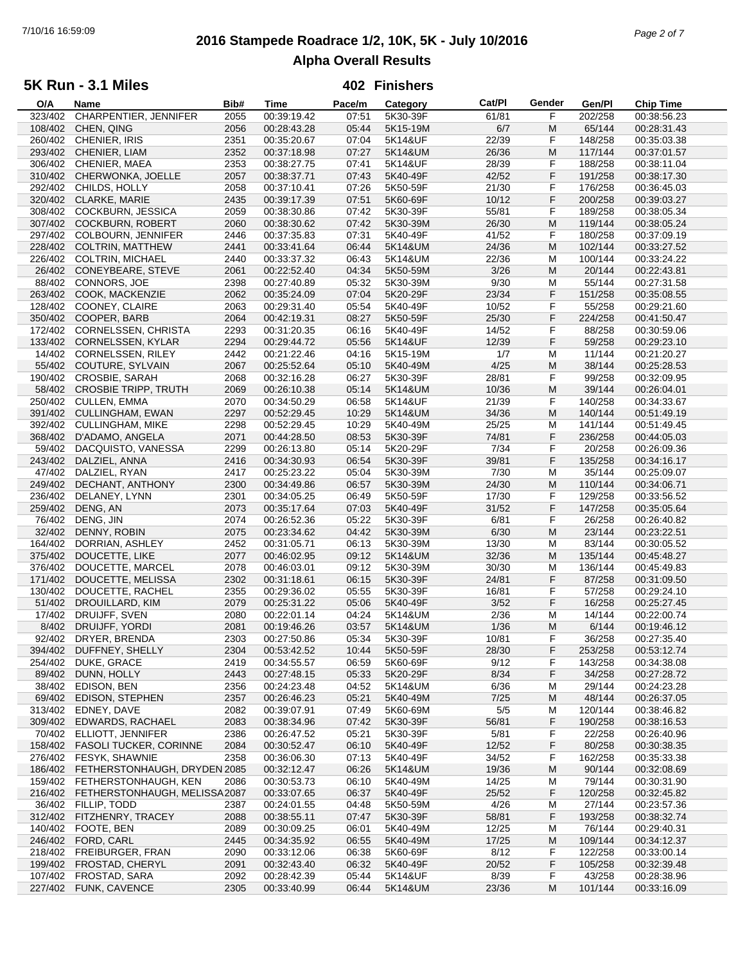# **2016 Stampede Roadrace 1/2, 10K, 5K - July 10/2016** 7/10/16 16:59:09 *Page 2 of 7* **Alpha Overall Results**

### **5K Run - 3.1 Miles**

| O/A     | Name                                  | Bib# | Time        | Pace/m | Category | Cat/PI | Gender | Gen/Pl  | <b>Chip Time</b> |  |
|---------|---------------------------------------|------|-------------|--------|----------|--------|--------|---------|------------------|--|
| 323/402 | CHARPENTIER, JENNIFER                 | 2055 | 00:39:19.42 | 07:51  | 5K30-39F | 61/81  | F      | 202/258 | 00:38:56.23      |  |
| 108/402 | CHEN, QING                            | 2056 | 00:28:43.28 | 05:44  | 5K15-19M | 6/7    | M      | 65/144  | 00:28:31.43      |  |
| 260/402 | CHENIER, IRIS                         | 2351 | 00:35:20.67 | 07:04  | 5K14&UF  | 22/39  | F      | 148/258 | 00:35:03.38      |  |
| 293/402 | CHENIER, LIAM                         | 2352 | 00:37:18.98 | 07:27  | 5K14&UM  | 26/36  | M      | 117/144 | 00:37:01.57      |  |
|         |                                       |      | 00:38:27.75 |        |          |        | F      |         |                  |  |
| 306/402 | CHENIER, MAEA                         | 2353 |             | 07:41  | 5K14&UF  | 28/39  |        | 188/258 | 00:38:11.04      |  |
| 310/402 | CHERWONKA, JOELLE                     | 2057 | 00:38:37.71 | 07:43  | 5K40-49F | 42/52  | F.     | 191/258 | 00:38:17.30      |  |
| 292/402 | CHILDS, HOLLY                         | 2058 | 00:37:10.41 | 07:26  | 5K50-59F | 21/30  | F      | 176/258 | 00:36:45.03      |  |
| 320/402 | CLARKE, MARIE                         | 2435 | 00:39:17.39 | 07:51  | 5K60-69F | 10/12  | F      | 200/258 | 00:39:03.27      |  |
| 308/402 | COCKBURN, JESSICA                     | 2059 | 00:38:30.86 | 07:42  | 5K30-39F | 55/81  | F      | 189/258 | 00:38:05.34      |  |
| 307/402 | <b>COCKBURN, ROBERT</b>               | 2060 | 00:38:30.62 | 07:42  | 5K30-39M | 26/30  | M      | 119/144 | 00:38:05.24      |  |
| 297/402 | COLBOURN, JENNIFER                    | 2446 | 00:37:35.83 | 07:31  | 5K40-49F | 41/52  | F      | 180/258 | 00:37:09.19      |  |
| 228/402 | <b>COLTRIN, MATTHEW</b>               | 2441 | 00:33:41.64 | 06:44  | 5K14&UM  | 24/36  | M      | 102/144 | 00:33:27.52      |  |
|         |                                       |      |             |        |          |        |        |         |                  |  |
| 226/402 | <b>COLTRIN, MICHAEL</b>               | 2440 | 00:33:37.32 | 06:43  | 5K14&UM  | 22/36  | M      | 100/144 | 00:33:24.22      |  |
| 26/402  | CONEYBEARE, STEVE                     | 2061 | 00:22:52.40 | 04:34  | 5K50-59M | 3/26   | M      | 20/144  | 00:22:43.81      |  |
| 88/402  | CONNORS, JOE                          | 2398 | 00:27:40.89 | 05:32  | 5K30-39M | 9/30   | M      | 55/144  | 00:27:31.58      |  |
| 263/402 | COOK, MACKENZIE                       | 2062 | 00:35:24.09 | 07:04  | 5K20-29F | 23/34  | F      | 151/258 | 00:35:08.55      |  |
| 128/402 | COONEY, CLAIRE                        | 2063 | 00:29:31.40 | 05:54  | 5K40-49F | 10/52  | F      | 55/258  | 00:29:21.60      |  |
| 350/402 | COOPER, BARB                          | 2064 | 00:42:19.31 | 08:27  | 5K50-59F | 25/30  | F.     | 224/258 | 00:41:50.47      |  |
| 172/402 | <b>CORNELSSEN, CHRISTA</b>            | 2293 | 00:31:20.35 | 06:16  | 5K40-49F | 14/52  | F      | 88/258  | 00:30:59.06      |  |
|         |                                       |      |             |        |          |        |        |         |                  |  |
| 133/402 | <b>CORNELSSEN, KYLAR</b>              | 2294 | 00:29:44.72 | 05:56  | 5K14&UF  | 12/39  | F      | 59/258  | 00:29:23.10      |  |
| 14/402  | <b>CORNELSSEN, RILEY</b>              | 2442 | 00:21:22.46 | 04:16  | 5K15-19M | 1/7    | M      | 11/144  | 00:21:20.27      |  |
| 55/402  | COUTURE, SYLVAIN                      | 2067 | 00:25:52.64 | 05:10  | 5K40-49M | 4/25   | M      | 38/144  | 00:25:28.53      |  |
| 190/402 | CROSBIE, SARAH                        | 2068 | 00:32:16.28 | 06:27  | 5K30-39F | 28/81  | F      | 99/258  | 00:32:09.95      |  |
| 58/402  | <b>CROSBIE TRIPP, TRUTH</b>           | 2069 | 00:26:10.38 | 05:14  | 5K14&UM  | 10/36  | M      | 39/144  | 00:26:04.01      |  |
| 250/402 | <b>CULLEN, EMMA</b>                   | 2070 | 00:34:50.29 | 06:58  | 5K14&UF  | 21/39  | F      | 140/258 | 00:34:33.67      |  |
| 391/402 | <b>CULLINGHAM, EWAN</b>               | 2297 | 00:52:29.45 | 10:29  | 5K14&UM  | 34/36  | M      | 140/144 | 00:51:49.19      |  |
| 392/402 |                                       |      |             | 10:29  |          |        |        |         |                  |  |
|         | <b>CULLINGHAM, MIKE</b>               | 2298 | 00:52:29.45 |        | 5K40-49M | 25/25  | M      | 141/144 | 00:51:49.45      |  |
| 368/402 | D'ADAMO, ANGELA                       | 2071 | 00:44:28.50 | 08:53  | 5K30-39F | 74/81  | F      | 236/258 | 00:44:05.03      |  |
| 59/402  | DACQUISTO, VANESSA                    | 2299 | 00:26:13.80 | 05:14  | 5K20-29F | 7/34   | F      | 20/258  | 00:26:09.36      |  |
| 243/402 | DALZIEL, ANNA                         | 2416 | 00:34:30.93 | 06:54  | 5K30-39F | 39/81  | F      | 135/258 | 00:34:16.17      |  |
| 47/402  | DALZIEL, RYAN                         | 2417 | 00:25:23.22 | 05:04  | 5K30-39M | 7/30   | M      | 35/144  | 00:25:09.07      |  |
| 249/402 | DECHANT, ANTHONY                      | 2300 | 00:34:49.86 | 06:57  | 5K30-39M | 24/30  | M      | 110/144 | 00:34:06.71      |  |
| 236/402 | DELANEY, LYNN                         | 2301 | 00:34:05.25 | 06:49  | 5K50-59F | 17/30  | F      | 129/258 | 00:33:56.52      |  |
| 259/402 | DENG, AN                              | 2073 | 00:35:17.64 | 07:03  | 5K40-49F | 31/52  | F      | 147/258 | 00:35:05.64      |  |
|         |                                       |      |             |        |          |        |        |         |                  |  |
| 76/402  | DENG, JIN                             | 2074 | 00:26:52.36 | 05:22  | 5K30-39F | 6/81   | F      | 26/258  | 00:26:40.82      |  |
| 32/402  | DENNY, ROBIN                          | 2075 | 00:23:34.62 | 04:42  | 5K30-39M | 6/30   | M      | 23/144  | 00:23:22.51      |  |
| 164/402 | DORRIAN, ASHLEY                       | 2452 | 00:31:05.71 | 06:13  | 5K30-39M | 13/30  | M      | 83/144  | 00:30:05.52      |  |
| 375/402 | DOUCETTE, LIKE                        | 2077 | 00:46:02.95 | 09:12  | 5K14&UM  | 32/36  | M      | 135/144 | 00:45:48.27      |  |
| 376/402 | DOUCETTE, MARCEL                      | 2078 | 00:46:03.01 | 09:12  | 5K30-39M | 30/30  | M      | 136/144 | 00:45:49.83      |  |
| 171/402 | DOUCETTE, MELISSA                     | 2302 | 00:31:18.61 | 06:15  | 5K30-39F | 24/81  | F      | 87/258  | 00:31:09.50      |  |
| 130/402 | DOUCETTE, RACHEL                      | 2355 | 00:29:36.02 | 05:55  | 5K30-39F | 16/81  | F      | 57/258  | 00:29:24.10      |  |
| 51/402  | DROUILLARD, KIM                       | 2079 | 00:25:31.22 | 05:06  | 5K40-49F | 3/52   | F      | 16/258  | 00:25:27.45      |  |
| 17/402  |                                       |      |             |        |          |        |        |         |                  |  |
|         | DRUIJFF, SVEN                         | 2080 | 00:22:01.14 | 04:24  | 5K14&UM  | 2/36   | M      | 14/144  | 00:22:00.74      |  |
| 8/402   | DRUIJFF, YORDI                        | 2081 | 00:19:46.26 | 03:57  | 5K14&UM  | 1/36   | M      | 6/144   | 00:19:46.12      |  |
| 92/402  | DRYER, BRENDA                         | 2303 | 00:27:50.86 | 05:34  | 5K30-39F | 10/81  | F      | 36/258  | 00:27:35.40      |  |
| 394/402 | DUFFNEY, SHELLY                       | 2304 | 00:53:42.52 | 10:44  | 5K50-59F | 28/30  | F      | 253/258 | 00:53:12.74      |  |
| 254/402 | DUKE, GRACE                           | 2419 | 00:34:55.57 | 06:59  | 5K60-69F | 9/12   | F      | 143/258 | 00:34:38.08      |  |
| 89/402  | DUNN, HOLLY                           | 2443 | 00:27:48.15 | 05:33  | 5K20-29F | 8/34   | F      | 34/258  | 00:27:28.72      |  |
| 38/402  | EDISON, BEN                           | 2356 | 00:24:23.48 | 04:52  | 5K14&UM  | 6/36   | M      | 29/144  | 00:24:23.28      |  |
| 69/402  | <b>EDISON, STEPHEN</b>                | 2357 | 00:26:46.23 | 05:21  | 5K40-49M | 7/25   | M      | 48/144  | 00:26:37.05      |  |
|         |                                       |      |             |        |          |        |        |         |                  |  |
| 313/402 | EDNEY, DAVE                           | 2082 | 00:39:07.91 | 07:49  | 5K60-69M | 5/5    | M      | 120/144 | 00:38:46.82      |  |
| 309/402 | EDWARDS, RACHAEL                      | 2083 | 00:38:34.96 | 07:42  | 5K30-39F | 56/81  | F      | 190/258 | 00:38:16.53      |  |
| 70/402  | ELLIOTT, JENNIFER                     | 2386 | 00:26:47.52 | 05:21  | 5K30-39F | 5/81   | F      | 22/258  | 00:26:40.96      |  |
|         | 158/402 FASOLI TUCKER, CORINNE        | 2084 | 00:30:52.47 | 06:10  | 5K40-49F | 12/52  | F      | 80/258  | 00:30:38.35      |  |
| 276/402 | <b>FESYK, SHAWNIE</b>                 | 2358 | 00:36:06.30 | 07:13  | 5K40-49F | 34/52  | F      | 162/258 | 00:35:33.38      |  |
|         | 186/402 FETHERSTONHAUGH, DRYDEN 2085  |      | 00:32:12.47 | 06:26  | 5K14&UM  | 19/36  | M      | 90/144  | 00:32:08.69      |  |
| 159/402 | FETHERSTONHAUGH, KEN                  | 2086 | 00:30:53.73 | 06:10  | 5K40-49M | 14/25  | M      | 79/144  | 00:30:31.90      |  |
|         | 216/402 FETHERSTONHAUGH, MELISSA 2087 |      | 00:33:07.65 | 06:37  | 5K40-49F | 25/52  | F      | 120/258 | 00:32:45.82      |  |
|         |                                       |      |             |        |          |        |        |         |                  |  |
| 36/402  | FILLIP, TODD                          | 2387 | 00:24:01.55 | 04:48  | 5K50-59M | 4/26   | M      | 27/144  | 00:23:57.36      |  |
| 312/402 | FITZHENRY, TRACEY                     | 2088 | 00:38:55.11 | 07:47  | 5K30-39F | 58/81  | F      | 193/258 | 00:38:32.74      |  |
| 140/402 | FOOTE, BEN                            | 2089 | 00:30:09.25 | 06:01  | 5K40-49M | 12/25  | M      | 76/144  | 00:29:40.31      |  |
|         | 246/402 FORD, CARL                    | 2445 | 00:34:35.92 | 06:55  | 5K40-49M | 17/25  | M      | 109/144 | 00:34:12.37      |  |
| 218/402 | FREIBURGER, FRAN                      | 2090 | 00:33:12.06 | 06:38  | 5K60-69F | 8/12   | F      | 122/258 | 00:33:00.14      |  |
| 199/402 | FROSTAD, CHERYL                       | 2091 | 00:32:43.40 | 06:32  | 5K40-49F | 20/52  | F      | 105/258 | 00:32:39.48      |  |
| 107/402 | FROSTAD, SARA                         | 2092 | 00:28:42.39 | 05:44  | 5K14&UF  | 8/39   | F      | 43/258  | 00:28:38.96      |  |
|         | 227/402 FUNK, CAVENCE                 | 2305 | 00:33:40.99 | 06:44  | 5K14&UM  | 23/36  | M      | 101/144 | 00:33:16.09      |  |
|         |                                       |      |             |        |          |        |        |         |                  |  |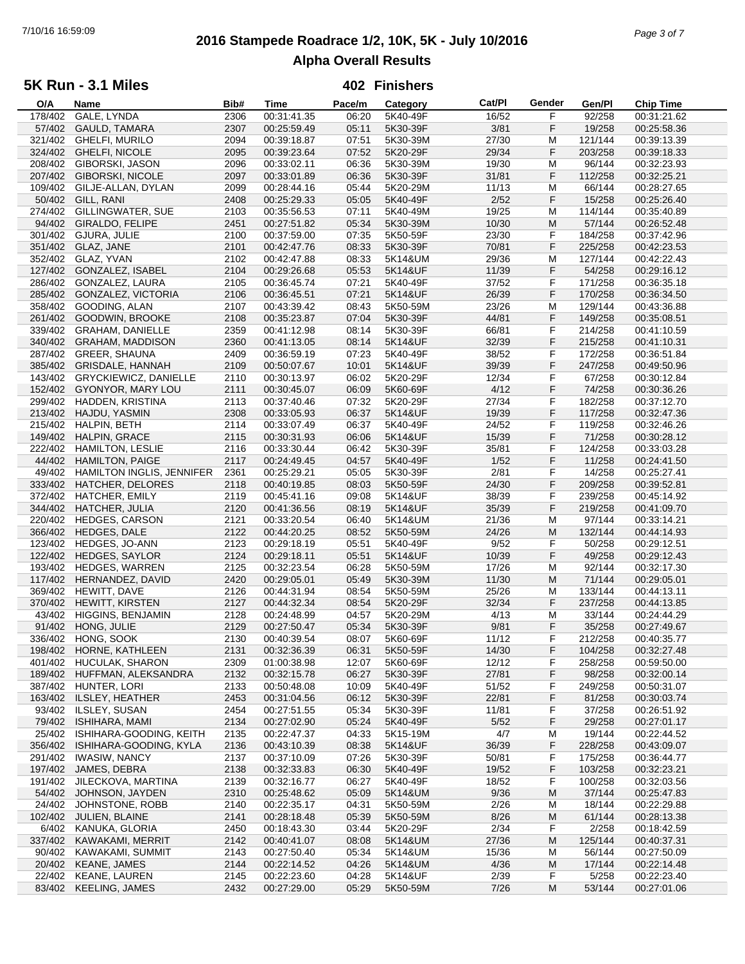# **2016 Stampede Roadrace 1/2, 10K, 5K - July 10/2016** 7/10/16 16:59:09 *Page 3 of 7* **Alpha Overall Results**

## **5K Run - 3.1 Miles**

| O/A     | Name                         | Bib# | Time        | Pace/m | Category | Cat/PI | Gender | Gen/Pl  | Chip Time   |  |
|---------|------------------------------|------|-------------|--------|----------|--------|--------|---------|-------------|--|
| 178/402 | GALE, LYNDA                  | 2306 | 00:31:41.35 | 06:20  | 5K40-49F | 16/52  | F      | 92/258  | 00:31:21.62 |  |
| 57/402  | <b>GAULD, TAMARA</b>         | 2307 | 00:25:59.49 | 05:11  | 5K30-39F | 3/81   | F      | 19/258  | 00:25:58.36 |  |
| 321/402 | <b>GHELFI, MURILO</b>        | 2094 | 00:39:18.87 | 07:51  | 5K30-39M | 27/30  | М      | 121/144 | 00:39:13.39 |  |
| 324/402 | <b>GHELFI, NICOLE</b>        | 2095 | 00:39:23.64 | 07:52  | 5K20-29F | 29/34  | F      | 203/258 | 00:39:18.33 |  |
| 208/402 |                              |      | 00:33:02.11 | 06:36  |          | 19/30  | M      | 96/144  |             |  |
|         | GIBORSKI, JASON              | 2096 |             |        | 5K30-39M |        |        |         | 00:32:23.93 |  |
| 207/402 | <b>GIBORSKI, NICOLE</b>      | 2097 | 00:33:01.89 | 06:36  | 5K30-39F | 31/81  | F      | 112/258 | 00:32:25.21 |  |
| 109/402 | GILJE-ALLAN, DYLAN           | 2099 | 00:28:44.16 | 05:44  | 5K20-29M | 11/13  | M      | 66/144  | 00:28:27.65 |  |
| 50/402  | GILL, RANI                   | 2408 | 00:25:29.33 | 05:05  | 5K40-49F | 2/52   | F      | 15/258  | 00:25:26.40 |  |
| 274/402 | GILLINGWATER, SUE            | 2103 | 00:35:56.53 | 07:11  | 5K40-49M | 19/25  | M      | 114/144 | 00:35:40.89 |  |
| 94/402  | <b>GIRALDO, FELIPE</b>       | 2451 | 00:27:51.82 | 05:34  | 5K30-39M | 10/30  | M      | 57/144  | 00:26:52.48 |  |
| 301/402 | GJURA, JULIE                 | 2100 | 00:37:59.00 | 07:35  | 5K50-59F | 23/30  | F      | 184/258 | 00:37:42.96 |  |
| 351/402 | GLAZ, JANE                   | 2101 | 00:42:47.76 | 08:33  | 5K30-39F | 70/81  | F      | 225/258 | 00:42:23.53 |  |
|         |                              |      |             |        |          |        |        |         |             |  |
| 352/402 | GLAZ, YVAN                   | 2102 | 00:42:47.88 | 08:33  | 5K14&UM  | 29/36  | M      | 127/144 | 00:42:22.43 |  |
| 127/402 | <b>GONZALEZ, ISABEL</b>      | 2104 | 00:29:26.68 | 05:53  | 5K14&UF  | 11/39  | F      | 54/258  | 00:29:16.12 |  |
| 286/402 | GONZALEZ, LAURA              | 2105 | 00:36:45.74 | 07:21  | 5K40-49F | 37/52  | F      | 171/258 | 00:36:35.18 |  |
| 285/402 | <b>GONZALEZ, VICTORIA</b>    | 2106 | 00:36:45.51 | 07:21  | 5K14&UF  | 26/39  | F      | 170/258 | 00:36:34.50 |  |
| 358/402 | GOODING, ALAN                | 2107 | 00:43:39.42 | 08:43  | 5K50-59M | 23/26  | М      | 129/144 | 00:43:36.88 |  |
| 261/402 | <b>GOODWIN, BROOKE</b>       | 2108 | 00:35:23.87 | 07:04  | 5K30-39F | 44/81  | F      | 149/258 | 00:35:08.51 |  |
| 339/402 | <b>GRAHAM, DANIELLE</b>      | 2359 | 00:41:12.98 | 08:14  | 5K30-39F | 66/81  | F      | 214/258 | 00:41:10.59 |  |
|         |                              |      |             |        |          |        |        |         |             |  |
| 340/402 | <b>GRAHAM, MADDISON</b>      | 2360 | 00:41:13.05 | 08:14  | 5K14&UF  | 32/39  | F      | 215/258 | 00:41:10.31 |  |
| 287/402 | <b>GREER, SHAUNA</b>         | 2409 | 00:36:59.19 | 07:23  | 5K40-49F | 38/52  | F      | 172/258 | 00:36:51.84 |  |
| 385/402 | <b>GRISDALE, HANNAH</b>      | 2109 | 00:50:07.67 | 10:01  | 5K14&UF  | 39/39  | F      | 247/258 | 00:49:50.96 |  |
| 143/402 | <b>GRYCKIEWICZ, DANIELLE</b> | 2110 | 00:30:13.97 | 06:02  | 5K20-29F | 12/34  | F      | 67/258  | 00:30:12.84 |  |
| 152/402 | GYONYOR, MARY LOU            | 2111 | 00:30:45.07 | 06:09  | 5K60-69F | 4/12   | F      | 74/258  | 00:30:36.26 |  |
| 299/402 | HADDEN, KRISTINA             | 2113 | 00:37:40.46 | 07:32  | 5K20-29F | 27/34  | F      | 182/258 | 00:37:12.70 |  |
| 213/402 | HAJDU, YASMIN                | 2308 | 00:33:05.93 | 06:37  | 5K14&UF  | 19/39  | F      | 117/258 | 00:32:47.36 |  |
| 215/402 |                              |      |             |        | 5K40-49F |        | F      |         |             |  |
|         | HALPIN, BETH                 | 2114 | 00:33:07.49 | 06:37  |          | 24/52  |        | 119/258 | 00:32:46.26 |  |
| 149/402 | HALPIN, GRACE                | 2115 | 00:30:31.93 | 06:06  | 5K14&UF  | 15/39  | F      | 71/258  | 00:30:28.12 |  |
| 222/402 | <b>HAMILTON, LESLIE</b>      | 2116 | 00:33:30.44 | 06:42  | 5K30-39F | 35/81  | F      | 124/258 | 00:33:03.28 |  |
| 44/402  | <b>HAMILTON, PAIGE</b>       | 2117 | 00:24:49.45 | 04:57  | 5K40-49F | 1/52   | F      | 11/258  | 00:24:41.50 |  |
| 49/402  | HAMILTON INGLIS, JENNIFER    | 2361 | 00:25:29.21 | 05:05  | 5K30-39F | 2/81   | F      | 14/258  | 00:25:27.41 |  |
| 333/402 | HATCHER, DELORES             | 2118 | 00:40:19.85 | 08:03  | 5K50-59F | 24/30  | F      | 209/258 | 00:39:52.81 |  |
| 372/402 | <b>HATCHER, EMILY</b>        | 2119 | 00:45:41.16 | 09:08  | 5K14&UF  | 38/39  | F      | 239/258 | 00:45:14.92 |  |
| 344/402 | <b>HATCHER, JULIA</b>        | 2120 | 00:41:36.56 | 08:19  | 5K14&UF  | 35/39  | F      | 219/258 | 00:41:09.70 |  |
|         |                              |      |             |        |          |        |        |         |             |  |
| 220/402 | <b>HEDGES, CARSON</b>        | 2121 | 00:33:20.54 | 06:40  | 5K14&UM  | 21/36  | М      | 97/144  | 00:33:14.21 |  |
| 366/402 | HEDGES, DALE                 | 2122 | 00:44:20.25 | 08:52  | 5K50-59M | 24/26  | M      | 132/144 | 00:44:14.93 |  |
| 123/402 | HEDGES, JO-ANN               | 2123 | 00:29:18.19 | 05:51  | 5K40-49F | 9/52   | F      | 50/258  | 00:29:12.51 |  |
| 122/402 | HEDGES, SAYLOR               | 2124 | 00:29:18.11 | 05:51  | 5K14&UF  | 10/39  | F      | 49/258  | 00:29:12.43 |  |
| 193/402 | <b>HEDGES, WARREN</b>        | 2125 | 00:32:23.54 | 06:28  | 5K50-59M | 17/26  | M      | 92/144  | 00:32:17.30 |  |
| 117/402 | HERNANDEZ, DAVID             | 2420 | 00:29:05.01 | 05:49  | 5K30-39M | 11/30  | M      | 71/144  | 00:29:05.01 |  |
| 369/402 | HEWITT, DAVE                 | 2126 | 00:44:31.94 | 08:54  | 5K50-59M | 25/26  | M      | 133/144 | 00:44:13.11 |  |
| 370/402 | <b>HEWITT, KIRSTEN</b>       | 2127 | 00:44:32.34 | 08:54  | 5K20-29F | 32/34  | F      | 237/258 | 00:44:13.85 |  |
| 43/402  |                              |      |             |        |          |        |        |         |             |  |
|         | <b>HIGGINS, BENJAMIN</b>     | 2128 | 00:24:48.99 | 04:57  | 5K20-29M | 4/13   | M      | 33/144  | 00:24:44.29 |  |
| 91/402  | HONG, JULIE                  | 2129 | 00:27:50.47 | 05:34  | 5K30-39F | 9/81   | F      | 35/258  | 00:27:49.67 |  |
| 336/402 | HONG, SOOK                   | 2130 | 00:40:39.54 | 08:07  | 5K60-69F | 11/12  | F      | 212/258 | 00:40:35.77 |  |
| 198/402 | HORNE, KATHLEEN              | 2131 | 00:32:36.39 | 06:31  | 5K50-59F | 14/30  | F      | 104/258 | 00:32:27.48 |  |
| 401/402 | <b>HUCULAK, SHARON</b>       | 2309 | 01:00:38.98 | 12:07  | 5K60-69F | 12/12  | F      | 258/258 | 00:59:50.00 |  |
| 189/402 | HUFFMAN, ALEKSANDRA          | 2132 | 00:32:15.78 | 06:27  | 5K30-39F | 27/81  | F      | 98/258  | 00:32:00.14 |  |
| 387/402 | HUNTER, LORI                 | 2133 | 00:50:48.08 | 10:09  | 5K40-49F | 51/52  | F      | 249/258 | 00:50:31.07 |  |
| 163/402 | ILSLEY, HEATHER              | 2453 | 00:31:04.56 | 06:12  | 5K30-39F | 22/81  | F      | 81/258  | 00:30:03.74 |  |
|         |                              |      |             |        |          |        |        |         |             |  |
| 93/402  | <b>ILSLEY, SUSAN</b>         | 2454 | 00:27:51.55 | 05:34  | 5K30-39F | 11/81  | F      | 37/258  | 00:26:51.92 |  |
| 79/402  | <b>ISHIHARA, MAMI</b>        | 2134 | 00:27:02.90 | 05:24  | 5K40-49F | 5/52   | F      | 29/258  | 00:27:01.17 |  |
| 25/402  | ISHIHARA-GOODING, KEITH      | 2135 | 00:22:47.37 | 04:33  | 5K15-19M | 4/7    | M      | 19/144  | 00:22:44.52 |  |
| 356/402 | ISHIHARA-GOODING, KYLA       | 2136 | 00:43:10.39 | 08:38  | 5K14&UF  | 36/39  | F      | 228/258 | 00:43:09.07 |  |
| 291/402 | <b>IWASIW, NANCY</b>         | 2137 | 00:37:10.09 | 07:26  | 5K30-39F | 50/81  | F      | 175/258 | 00:36:44.77 |  |
| 197/402 | JAMES, DEBRA                 | 2138 | 00:32:33.83 | 06:30  | 5K40-49F | 19/52  | F      | 103/258 | 00:32:23.21 |  |
| 191/402 | JILECKOVA, MARTINA           | 2139 | 00:32:16.77 | 06:27  | 5K40-49F | 18/52  | F      | 100/258 | 00:32:03.56 |  |
| 54/402  | JOHNSON, JAYDEN              | 2310 | 00:25:48.62 | 05:09  |          | 9/36   | M      | 37/144  | 00:25:47.83 |  |
|         |                              |      |             |        | 5K14&UM  |        |        |         |             |  |
| 24/402  | JOHNSTONE, ROBB              | 2140 | 00:22:35.17 | 04:31  | 5K50-59M | 2/26   | м      | 18/144  | 00:22:29.88 |  |
| 102/402 | JULIEN, BLAINE               | 2141 | 00:28:18.48 | 05:39  | 5K50-59M | 8/26   | M      | 61/144  | 00:28:13.38 |  |
| 6/402   | KANUKA, GLORIA               | 2450 | 00:18:43.30 | 03:44  | 5K20-29F | 2/34   | F      | 2/258   | 00:18:42.59 |  |
| 337/402 | KAWAKAMI, MERRIT             | 2142 | 00:40:41.07 | 08:08  | 5K14&UM  | 27/36  | M      | 125/144 | 00:40:37.31 |  |
| 90/402  | KAWAKAMI, SUMMIT             | 2143 | 00:27:50.40 | 05:34  | 5K14&UM  | 15/36  | M      | 56/144  | 00:27:50.09 |  |
| 20/402  | <b>KEANE, JAMES</b>          | 2144 | 00:22:14.52 | 04:26  | 5K14&UM  | 4/36   | M      | 17/144  | 00:22:14.48 |  |
| 22/402  | <b>KEANE, LAUREN</b>         | 2145 | 00:22:23.60 | 04:28  | 5K14&UF  | 2/39   | F      | 5/258   | 00:22:23.40 |  |
|         | 83/402 KEELING, JAMES        | 2432 | 00:27:29.00 | 05:29  | 5K50-59M | 7/26   | M      | 53/144  | 00:27:01.06 |  |
|         |                              |      |             |        |          |        |        |         |             |  |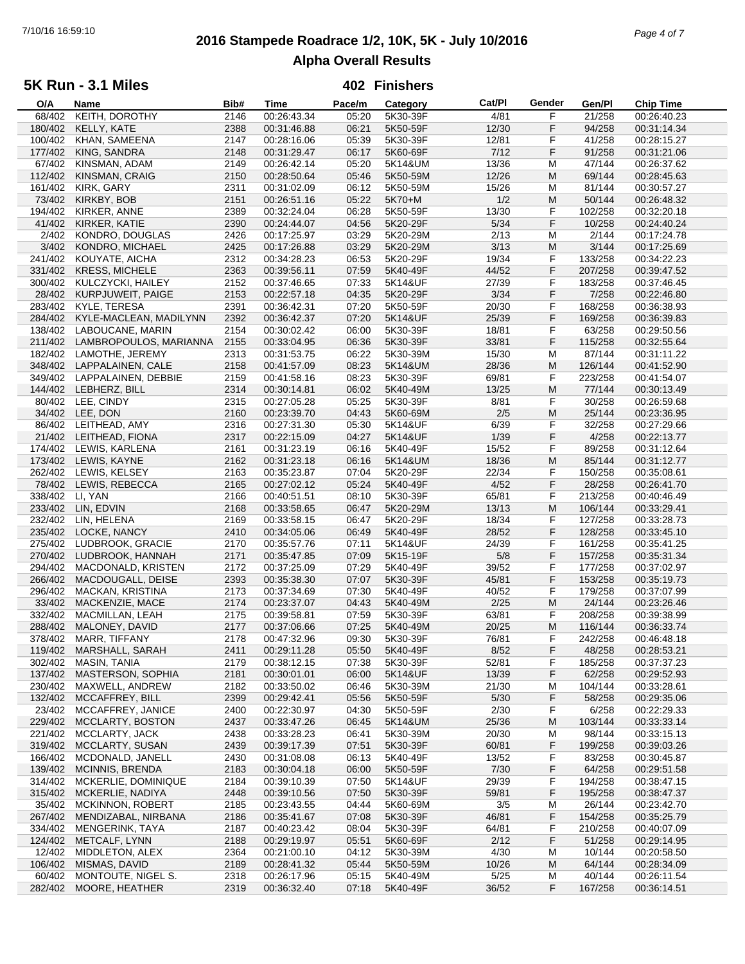# **2016 Stampede Roadrace 1/2, 10K, 5K - July 10/2016** 7/10/16 16:59:10 *Page 4 of 7* **Alpha Overall Results**

### **5K Run - 3.1 Miles**

| O/A     | Name                   | Bib# | Time        | Pace/m | Category | Cat/Pl | Gender | Gen/Pl  | <b>Chip Time</b> |
|---------|------------------------|------|-------------|--------|----------|--------|--------|---------|------------------|
| 68/402  | KEITH, DOROTHY         | 2146 | 00:26:43.34 | 05:20  | 5K30-39F | 4/81   | F      | 21/258  | 00:26:40.23      |
| 180/402 | <b>KELLY, KATE</b>     | 2388 | 00:31:46.88 | 06:21  | 5K50-59F | 12/30  | F      | 94/258  | 00:31:14.34      |
| 100/402 | KHAN, SAMEENA          | 2147 | 00:28:16.06 | 05:39  | 5K30-39F | 12/81  | F      | 41/258  | 00:28:15.27      |
| 177/402 | KING, SANDRA           | 2148 | 00:31:29.47 | 06:17  | 5K60-69F | 7/12   | F      | 91/258  | 00:31:21.06      |
| 67/402  | KINSMAN, ADAM          |      | 00:26:42.14 | 05:20  |          |        | M      | 47/144  |                  |
|         |                        | 2149 |             |        | 5K14&UM  | 13/36  |        |         | 00:26:37.62      |
| 112/402 | KINSMAN, CRAIG         | 2150 | 00:28:50.64 | 05:46  | 5K50-59M | 12/26  | M      | 69/144  | 00:28:45.63      |
| 161/402 | KIRK, GARY             | 2311 | 00:31:02.09 | 06:12  | 5K50-59M | 15/26  | M      | 81/144  | 00:30:57.27      |
| 73/402  | KIRKBY, BOB            | 2151 | 00:26:51.16 | 05:22  | 5K70+M   | 1/2    | M      | 50/144  | 00:26:48.32      |
| 194/402 | KIRKER, ANNE           | 2389 | 00:32:24.04 | 06:28  | 5K50-59F | 13/30  | F      | 102/258 | 00:32:20.18      |
| 41/402  | KIRKER, KATIE          | 2390 | 00:24:44.07 | 04:56  | 5K20-29F | 5/34   | F      | 10/258  | 00:24:40.24      |
| 2/402   | KONDRO, DOUGLAS        | 2426 | 00:17:25.97 | 03:29  | 5K20-29M | 2/13   | М      | 2/144   | 00:17:24.78      |
| 3/402   | KONDRO, MICHAEL        | 2425 | 00:17:26.88 | 03:29  | 5K20-29M | 3/13   | M      | 3/144   | 00:17:25.69      |
|         |                        |      |             |        |          |        |        |         |                  |
| 241/402 | KOUYATE, AICHA         | 2312 | 00:34:28.23 | 06:53  | 5K20-29F | 19/34  | F      | 133/258 | 00:34:22.23      |
| 331/402 | <b>KRESS, MICHELE</b>  | 2363 | 00:39:56.11 | 07:59  | 5K40-49F | 44/52  | F      | 207/258 | 00:39:47.52      |
| 300/402 | KULCZYCKI, HAILEY      | 2152 | 00:37:46.65 | 07:33  | 5K14&UF  | 27/39  | F      | 183/258 | 00:37:46.45      |
| 28/402  | KURPJUWEIT, PAIGE      | 2153 | 00:22:57.18 | 04:35  | 5K20-29F | 3/34   | F      | 7/258   | 00:22:46.80      |
| 283/402 | KYLE, TERESA           | 2391 | 00:36:42.31 | 07:20  | 5K50-59F | 20/30  | F      | 168/258 | 00:36:38.93      |
| 284/402 | KYLE-MACLEAN, MADILYNN | 2392 | 00:36:42.37 | 07:20  | 5K14&UF  | 25/39  | F      | 169/258 | 00:36:39.83      |
| 138/402 | LABOUCANE, MARIN       | 2154 | 00:30:02.42 | 06:00  | 5K30-39F | 18/81  | F      | 63/258  | 00:29:50.56      |
|         |                        |      |             |        |          |        |        |         |                  |
| 211/402 | LAMBROPOULOS, MARIANNA | 2155 | 00:33:04.95 | 06:36  | 5K30-39F | 33/81  | F      | 115/258 | 00:32:55.64      |
| 182/402 | LAMOTHE, JEREMY        | 2313 | 00:31:53.75 | 06:22  | 5K30-39M | 15/30  | M      | 87/144  | 00:31:11.22      |
| 348/402 | LAPPALAINEN, CALE      | 2158 | 00:41:57.09 | 08:23  | 5K14&UM  | 28/36  | M      | 126/144 | 00:41:52.90      |
| 349/402 | LAPPALAINEN, DEBBIE    | 2159 | 00:41:58.16 | 08:23  | 5K30-39F | 69/81  | F      | 223/258 | 00:41:54.07      |
| 144/402 | LEBHERZ, BILL          | 2314 | 00:30:14.81 | 06:02  | 5K40-49M | 13/25  | M      | 77/144  | 00:30:13.49      |
| 80/402  | LEE, CINDY             | 2315 | 00:27:05.28 | 05:25  | 5K30-39F | 8/81   | F      | 30/258  | 00:26:59.68      |
| 34/402  | LEE, DON               | 2160 | 00:23:39.70 | 04:43  | 5K60-69M | 2/5    | M      | 25/144  | 00:23:36.95      |
| 86/402  |                        |      |             | 05:30  |          | 6/39   | F      | 32/258  |                  |
|         | LEITHEAD, AMY          | 2316 | 00:27:31.30 |        | 5K14&UF  |        |        |         | 00:27:29.66      |
| 21/402  | LEITHEAD, FIONA        | 2317 | 00:22:15.09 | 04:27  | 5K14&UF  | 1/39   | F      | 4/258   | 00:22:13.77      |
| 174/402 | LEWIS, KARLENA         | 2161 | 00:31:23.19 | 06:16  | 5K40-49F | 15/52  | F      | 89/258  | 00:31:12.64      |
| 173/402 | LEWIS, KAYNE           | 2162 | 00:31:23.18 | 06:16  | 5K14&UM  | 18/36  | M      | 85/144  | 00:31:12.77      |
| 262/402 | LEWIS, KELSEY          | 2163 | 00:35:23.87 | 07:04  | 5K20-29F | 22/34  | F      | 150/258 | 00:35:08.61      |
| 78/402  | LEWIS, REBECCA         | 2165 | 00:27:02.12 | 05:24  | 5K40-49F | 4/52   | F      | 28/258  | 00:26:41.70      |
| 338/402 | LI, YAN                | 2166 | 00:40:51.51 | 08:10  | 5K30-39F | 65/81  | F      | 213/258 | 00:40:46.49      |
| 233/402 | LIN, EDVIN             | 2168 | 00:33:58.65 | 06:47  | 5K20-29M | 13/13  | M      | 106/144 | 00:33:29.41      |
|         |                        |      |             |        |          |        |        |         |                  |
| 232/402 | LIN, HELENA            | 2169 | 00:33:58.15 | 06:47  | 5K20-29F | 18/34  | F      | 127/258 | 00:33:28.73      |
| 235/402 | LOCKE, NANCY           | 2410 | 00:34:05.06 | 06:49  | 5K40-49F | 28/52  | F      | 128/258 | 00:33:45.10      |
| 275/402 | LUDBROOK, GRACIE       | 2170 | 00:35:57.76 | 07:11  | 5K14&UF  | 24/39  | F      | 161/258 | 00:35:41.25      |
| 270/402 | LUDBROOK, HANNAH       | 2171 | 00:35:47.85 | 07:09  | 5K15-19F | 5/8    | F      | 157/258 | 00:35:31.34      |
| 294/402 | MACDONALD, KRISTEN     | 2172 | 00:37:25.09 | 07:29  | 5K40-49F | 39/52  | F      | 177/258 | 00:37:02.97      |
| 266/402 | MACDOUGALL, DEISE      | 2393 | 00:35:38.30 | 07:07  | 5K30-39F | 45/81  | F      | 153/258 | 00:35:19.73      |
| 296/402 | MACKAN, KRISTINA       | 2173 | 00:37:34.69 | 07:30  | 5K40-49F | 40/52  | F      | 179/258 | 00:37:07.99      |
| 33/402  | MACKENZIE, MACE        | 2174 | 00:23:37.07 | 04:43  | 5K40-49M | 2/25   | M      | 24/144  | 00:23:26.46      |
|         |                        |      |             |        |          |        |        |         |                  |
| 332/402 | MACMILLAN, LEAH        | 2175 | 00:39:58.81 | 07:59  | 5K30-39F | 63/81  | F      | 208/258 | 00:39:38.99      |
| 288/402 | MALONEY, DAVID         | 2177 | 00:37:06.66 | 07:25  | 5K40-49M | 20/25  | M      | 116/144 | 00:36:33.74      |
| 378/402 | MARR, TIFFANY          | 2178 | 00:47:32.96 | 09:30  | 5K30-39F | 76/81  | F      | 242/258 | 00:46:48.18      |
| 119/402 | MARSHALL, SARAH        | 2411 | 00:29:11.28 | 05:50  | 5K40-49F | 8/52   | F      | 48/258  | 00:28:53.21      |
| 302/402 | MASIN, TANIA           | 2179 | 00:38:12.15 | 07:38  | 5K30-39F | 52/81  | F      | 185/258 | 00:37:37.23      |
| 137/402 | MASTERSON, SOPHIA      | 2181 | 00:30:01.01 | 06:00  | 5K14&UF  | 13/39  | F      | 62/258  | 00:29:52.93      |
| 230/402 | MAXWELL, ANDREW        | 2182 | 00:33:50.02 | 06:46  | 5K30-39M | 21/30  | M      | 104/144 | 00:33:28.61      |
| 132/402 | MCCAFFREY, BILL        | 2399 | 00:29:42.41 | 05:56  | 5K50-59F | 5/30   | F      | 58/258  | 00:29:35.06      |
|         |                        |      |             |        |          |        |        |         |                  |
| 23/402  | MCCAFFREY, JANICE      | 2400 | 00:22:30.97 | 04:30  | 5K50-59F | 2/30   | F      | 6/258   | 00:22:29.33      |
| 229/402 | MCCLARTY, BOSTON       | 2437 | 00:33:47.26 | 06:45  | 5K14&UM  | 25/36  | M      | 103/144 | 00:33:33.14      |
| 221/402 | MCCLARTY, JACK         | 2438 | 00:33:28.23 | 06:41  | 5K30-39M | 20/30  | М      | 98/144  | 00:33:15.13      |
| 319/402 | MCCLARTY, SUSAN        | 2439 | 00:39:17.39 | 07:51  | 5K30-39F | 60/81  | F      | 199/258 | 00:39:03.26      |
| 166/402 | MCDONALD, JANELL       | 2430 | 00:31:08.08 | 06:13  | 5K40-49F | 13/52  | F      | 83/258  | 00:30:45.87      |
| 139/402 | <b>MCINNIS, BRENDA</b> | 2183 | 00:30:04.18 | 06:00  | 5K50-59F | 7/30   | F      | 64/258  | 00:29:51.58      |
| 314/402 | MCKERLIE, DOMINIQUE    | 2184 | 00:39:10.39 | 07:50  | 5K14&UF  | 29/39  | F      | 194/258 | 00:38:47.15      |
|         |                        |      |             |        |          |        |        |         |                  |
| 315/402 | MCKERLIE, NADIYA       | 2448 | 00:39:10.56 | 07:50  | 5K30-39F | 59/81  | F      | 195/258 | 00:38:47.37      |
| 35/402  | MCKINNON, ROBERT       | 2185 | 00:23:43.55 | 04:44  | 5K60-69M | 3/5    | M      | 26/144  | 00:23:42.70      |
| 267/402 | MENDIZABAL, NIRBANA    | 2186 | 00:35:41.67 | 07:08  | 5K30-39F | 46/81  | F      | 154/258 | 00:35:25.79      |
| 334/402 | MENGERINK, TAYA        | 2187 | 00:40:23.42 | 08:04  | 5K30-39F | 64/81  | F      | 210/258 | 00:40:07.09      |
| 124/402 | METCALF, LYNN          | 2188 | 00:29:19.97 | 05:51  | 5K60-69F | 2/12   | F      | 51/258  | 00:29:14.95      |
| 12/402  | MIDDLETON, ALEX        | 2364 | 00:21:00.10 | 04:12  | 5K30-39M | 4/30   | M      | 10/144  | 00:20:58.50      |
| 106/402 | MISMAS, DAVID          | 2189 | 00:28:41.32 | 05:44  | 5K50-59M | 10/26  | M      | 64/144  | 00:28:34.09      |
| 60/402  | MONTOUTE, NIGEL S.     | 2318 | 00:26:17.96 | 05:15  | 5K40-49M | 5/25   | M      | 40/144  | 00:26:11.54      |
| 282/402 | MOORE, HEATHER         | 2319 | 00:36:32.40 | 07:18  | 5K40-49F | 36/52  | F      | 167/258 | 00:36:14.51      |
|         |                        |      |             |        |          |        |        |         |                  |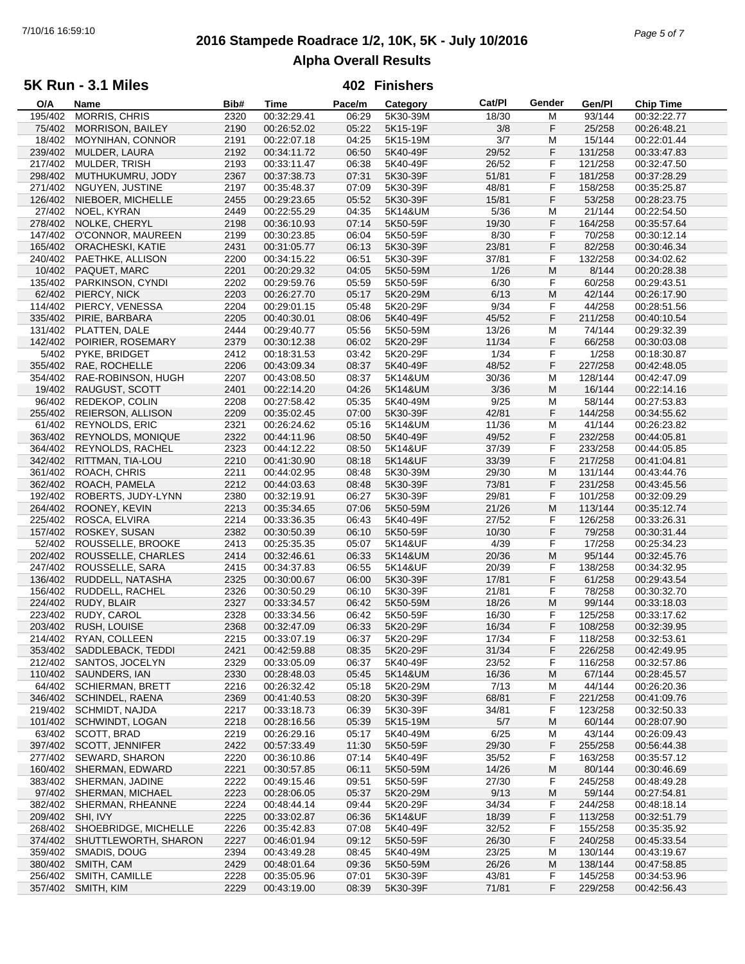# **2016 Stampede Roadrace 1/2, 10K, 5K - July 10/2016** 7/10/16 16:59:10 *Page 5 of 7* **Alpha Overall Results**

### **5K Run - 3.1 Miles**

| O/A     | Name                    | Bib# | Time        | Pace/m | Category | Cat/Pl | Gender | Gen/Pl  | Chip Time   |
|---------|-------------------------|------|-------------|--------|----------|--------|--------|---------|-------------|
| 195/402 | MORRIS, CHRIS           | 2320 | 00:32:29.41 | 06:29  | 5K30-39M | 18/30  | м      | 93/144  | 00:32:22.77 |
| 75/402  | <b>MORRISON, BAILEY</b> | 2190 | 00:26:52.02 | 05:22  | 5K15-19F | 3/8    | F      | 25/258  | 00:26:48.21 |
| 18/402  | MOYNIHAN, CONNOR        | 2191 | 00:22:07.18 | 04:25  | 5K15-19M | 3/7    | M      | 15/144  | 00:22:01.44 |
| 239/402 | MULDER, LAURA           | 2192 | 00:34:11.72 | 06:50  | 5K40-49F | 29/52  | F      | 131/258 | 00:33:47.83 |
|         |                         |      |             |        |          |        |        |         |             |
| 217/402 | MULDER, TRISH           | 2193 | 00:33:11.47 | 06:38  | 5K40-49F | 26/52  | F      | 121/258 | 00:32:47.50 |
| 298/402 | MUTHUKUMRU, JODY        | 2367 | 00:37:38.73 | 07:31  | 5K30-39F | 51/81  | F      | 181/258 | 00:37:28.29 |
| 271/402 | NGUYEN, JUSTINE         | 2197 | 00:35:48.37 | 07:09  | 5K30-39F | 48/81  | F      | 158/258 | 00:35:25.87 |
| 126/402 | NIEBOER, MICHELLE       | 2455 | 00:29:23.65 | 05:52  | 5K30-39F | 15/81  | F      | 53/258  | 00:28:23.75 |
| 27/402  | NOEL, KYRAN             | 2449 | 00:22:55.29 | 04:35  | 5K14&UM  | 5/36   | M      | 21/144  | 00:22:54.50 |
| 278/402 | NOLKE, CHERYL           | 2198 | 00:36:10.93 | 07:14  | 5K50-59F | 19/30  | F      | 164/258 | 00:35:57.64 |
| 147/402 | O'CONNOR, MAUREEN       | 2199 | 00:30:23.85 | 06:04  | 5K50-59F | 8/30   | F      | 70/258  | 00:30:12.14 |
|         |                         |      |             |        |          |        |        |         |             |
| 165/402 | <b>ORACHESKI, KATIE</b> | 2431 | 00:31:05.77 | 06:13  | 5K30-39F | 23/81  | F      | 82/258  | 00:30:46.34 |
| 240/402 | PAETHKE, ALLISON        | 2200 | 00:34:15.22 | 06:51  | 5K30-39F | 37/81  | F      | 132/258 | 00:34:02.62 |
| 10/402  | PAQUET, MARC            | 2201 | 00:20:29.32 | 04:05  | 5K50-59M | 1/26   | M      | 8/144   | 00:20:28.38 |
| 135/402 | PARKINSON, CYNDI        | 2202 | 00:29:59.76 | 05:59  | 5K50-59F | 6/30   | F      | 60/258  | 00:29:43.51 |
| 62/402  | PIERCY, NICK            | 2203 | 00:26:27.70 | 05:17  | 5K20-29M | 6/13   | M      | 42/144  | 00:26:17.90 |
| 114/402 | PIERCY, VENESSA         | 2204 | 00:29:01.15 | 05:48  | 5K20-29F | 9/34   | F      | 44/258  | 00:28:51.56 |
| 335/402 | PIRIE, BARBARA          | 2205 | 00:40:30.01 | 08:06  | 5K40-49F | 45/52  | F      | 211/258 | 00:40:10.54 |
|         |                         | 2444 |             | 05:56  |          |        |        |         |             |
| 131/402 | PLATTEN, DALE           |      | 00:29:40.77 |        | 5K50-59M | 13/26  | M      | 74/144  | 00:29:32.39 |
| 142/402 | POIRIER, ROSEMARY       | 2379 | 00:30:12.38 | 06:02  | 5K20-29F | 11/34  | F      | 66/258  | 00:30:03.08 |
| 5/402   | PYKE, BRIDGET           | 2412 | 00:18:31.53 | 03:42  | 5K20-29F | 1/34   | F      | 1/258   | 00:18:30.87 |
| 355/402 | RAE, ROCHELLE           | 2206 | 00:43:09.34 | 08:37  | 5K40-49F | 48/52  | F      | 227/258 | 00:42:48.05 |
| 354/402 | RAE-ROBINSON, HUGH      | 2207 | 00:43:08.50 | 08:37  | 5K14&UM  | 30/36  | M      | 128/144 | 00:42:47.09 |
| 19/402  | RAUGUST, SCOTT          | 2401 | 00:22:14.20 | 04:26  | 5K14&UM  | 3/36   | M      | 16/144  | 00:22:14.16 |
| 96/402  | REDEKOP, COLIN          | 2208 | 00:27:58.42 | 05:35  | 5K40-49M | 9/25   | M      | 58/144  | 00:27:53.83 |
|         |                         |      |             |        |          |        |        |         |             |
| 255/402 | REIERSON, ALLISON       | 2209 | 00:35:02.45 | 07:00  | 5K30-39F | 42/81  | F      | 144/258 | 00:34:55.62 |
| 61/402  | REYNOLDS, ERIC          | 2321 | 00:26:24.62 | 05:16  | 5K14&UM  | 11/36  | M      | 41/144  | 00:26:23.82 |
| 363/402 | REYNOLDS, MONIQUE       | 2322 | 00:44:11.96 | 08:50  | 5K40-49F | 49/52  | F      | 232/258 | 00:44:05.81 |
| 364/402 | REYNOLDS, RACHEL        | 2323 | 00:44:12.22 | 08:50  | 5K14&UF  | 37/39  | F      | 233/258 | 00:44:05.85 |
| 342/402 | RITTMAN, TIA-LOU        | 2210 | 00:41:30.90 | 08:18  | 5K14&UF  | 33/39  | F      | 217/258 | 00:41:04.81 |
| 361/402 | ROACH, CHRIS            | 2211 | 00:44:02.95 | 08:48  | 5K30-39M | 29/30  | M      | 131/144 | 00:43:44.76 |
| 362/402 | ROACH, PAMELA           | 2212 | 00:44:03.63 | 08:48  | 5K30-39F | 73/81  | F      | 231/258 | 00:43:45.56 |
| 192/402 | ROBERTS, JUDY-LYNN      | 2380 | 00:32:19.91 | 06:27  | 5K30-39F | 29/81  | F      | 101/258 | 00:32:09.29 |
|         |                         |      |             |        |          |        |        |         |             |
| 264/402 | ROONEY, KEVIN           | 2213 | 00:35:34.65 | 07:06  | 5K50-59M | 21/26  | M      | 113/144 | 00:35:12.74 |
| 225/402 | ROSCA, ELVIRA           | 2214 | 00:33:36.35 | 06:43  | 5K40-49F | 27/52  | F      | 126/258 | 00:33:26.31 |
| 157/402 | ROSKEY, SUSAN           | 2382 | 00:30:50.39 | 06:10  | 5K50-59F | 10/30  | F      | 79/258  | 00:30:31.44 |
| 52/402  | ROUSSELLE, BROOKE       | 2413 | 00:25:35.35 | 05:07  | 5K14&UF  | 4/39   | F      | 17/258  | 00:25:34.23 |
| 202/402 | ROUSSELLE, CHARLES      | 2414 | 00:32:46.61 | 06:33  | 5K14&UM  | 20/36  | M      | 95/144  | 00:32:45.76 |
| 247/402 | ROUSSELLE, SARA         | 2415 | 00:34:37.83 | 06:55  | 5K14&UF  | 20/39  | F      | 138/258 | 00:34:32.95 |
| 136/402 | RUDDELL, NATASHA        | 2325 | 00:30:00.67 | 06:00  | 5K30-39F | 17/81  | F      | 61/258  | 00:29:43.54 |
| 156/402 | RUDDELL, RACHEL         | 2326 | 00:30:50.29 | 06:10  | 5K30-39F | 21/81  | F      | 78/258  | 00:30:32.70 |
|         |                         |      |             |        | 5K50-59M |        | M      |         |             |
| 224/402 | RUDY, BLAIR             | 2327 | 00:33:34.57 | 06:42  |          | 18/26  |        | 99/144  | 00:33:18.03 |
| 223/402 | RUDY, CAROL             | 2328 | 00:33:34.56 | 06:42  | 5K50-59F | 16/30  | F      | 125/258 | 00:33:17.62 |
| 203/402 | RUSH, LOUISE            | 2368 | 00:32:47.09 | 06:33  | 5K20-29F | 16/34  | F      | 108/258 | 00:32:39.95 |
| 214/402 | RYAN, COLLEEN           | 2215 | 00:33:07.19 | 06:37  | 5K20-29F | 17/34  | F      | 118/258 | 00:32:53.61 |
| 353/402 | SADDLEBACK, TEDDI       | 2421 | 00:42:59.88 | 08:35  | 5K20-29F | 31/34  | F      | 226/258 | 00:42:49.95 |
| 212/402 | SANTOS, JOCELYN         | 2329 | 00:33:05.09 | 06:37  | 5K40-49F | 23/52  | F      | 116/258 | 00:32:57.86 |
| 110/402 | SAUNDERS, IAN           | 2330 | 00:28:48.03 | 05:45  | 5K14&UM  | 16/36  | M      | 67/144  | 00:28:45.57 |
| 64/402  | <b>SCHIERMAN, BRETT</b> | 2216 | 00:26:32.42 | 05:18  | 5K20-29M | 7/13   | M      | 44/144  | 00:26:20.36 |
|         | <b>SCHINDEL, RAENA</b>  |      | 00:41:40.53 |        |          |        |        | 221/258 | 00:41:09.76 |
| 346/402 |                         | 2369 |             | 08:20  | 5K30-39F | 68/81  | F      |         |             |
| 219/402 | SCHMIDT, NAJDA          | 2217 | 00:33:18.73 | 06:39  | 5K30-39F | 34/81  | F      | 123/258 | 00:32:50.33 |
| 101/402 | SCHWINDT, LOGAN         | 2218 | 00:28:16.56 | 05:39  | 5K15-19M | 5/7    | M      | 60/144  | 00:28:07.90 |
| 63/402  | SCOTT, BRAD             | 2219 | 00:26:29.16 | 05:17  | 5K40-49M | 6/25   | M      | 43/144  | 00:26:09.43 |
| 397/402 | SCOTT, JENNIFER         | 2422 | 00:57:33.49 | 11:30  | 5K50-59F | 29/30  | F      | 255/258 | 00:56:44.38 |
| 277/402 | SEWARD, SHARON          | 2220 | 00:36:10.86 | 07:14  | 5K40-49F | 35/52  | F      | 163/258 | 00:35:57.12 |
| 160/402 | SHERMAN, EDWARD         | 2221 | 00:30:57.85 | 06:11  | 5K50-59M | 14/26  | M      | 80/144  | 00:30:46.69 |
| 383/402 | SHERMAN, JADINE         | 2222 | 00:49:15.46 | 09:51  | 5K50-59F | 27/30  | F      | 245/258 | 00:48:49.28 |
|         |                         |      |             |        |          |        |        |         |             |
| 97/402  | SHERMAN, MICHAEL        | 2223 | 00:28:06.05 | 05:37  | 5K20-29M | 9/13   | M      | 59/144  | 00:27:54.81 |
| 382/402 | SHERMAN, RHEANNE        | 2224 | 00:48:44.14 | 09:44  | 5K20-29F | 34/34  | F      | 244/258 | 00:48:18.14 |
| 209/402 | SHI, IVY                | 2225 | 00:33:02.87 | 06:36  | 5K14&UF  | 18/39  | F      | 113/258 | 00:32:51.79 |
| 268/402 | SHOEBRIDGE, MICHELLE    | 2226 | 00:35:42.83 | 07:08  | 5K40-49F | 32/52  | F      | 155/258 | 00:35:35.92 |
| 374/402 | SHUTTLEWORTH, SHARON    | 2227 | 00:46:01.94 | 09:12  | 5K50-59F | 26/30  | F      | 240/258 | 00:45:33.54 |
| 359/402 | SMADIS, DOUG            | 2394 | 00:43:49.28 | 08:45  | 5K40-49M | 23/25  | M      | 130/144 | 00:43:19.67 |
| 380/402 | SMITH, CAM              | 2429 | 00:48:01.64 | 09:36  | 5K50-59M | 26/26  | M      | 138/144 | 00:47:58.85 |
| 256/402 | SMITH, CAMILLE          | 2228 | 00:35:05.96 | 07:01  | 5K30-39F | 43/81  | F      | 145/258 | 00:34:53.96 |
|         |                         |      |             |        |          |        | F      |         |             |
|         | 357/402 SMITH, KIM      | 2229 | 00:43:19.00 | 08:39  | 5K30-39F | 71/81  |        | 229/258 | 00:42:56.43 |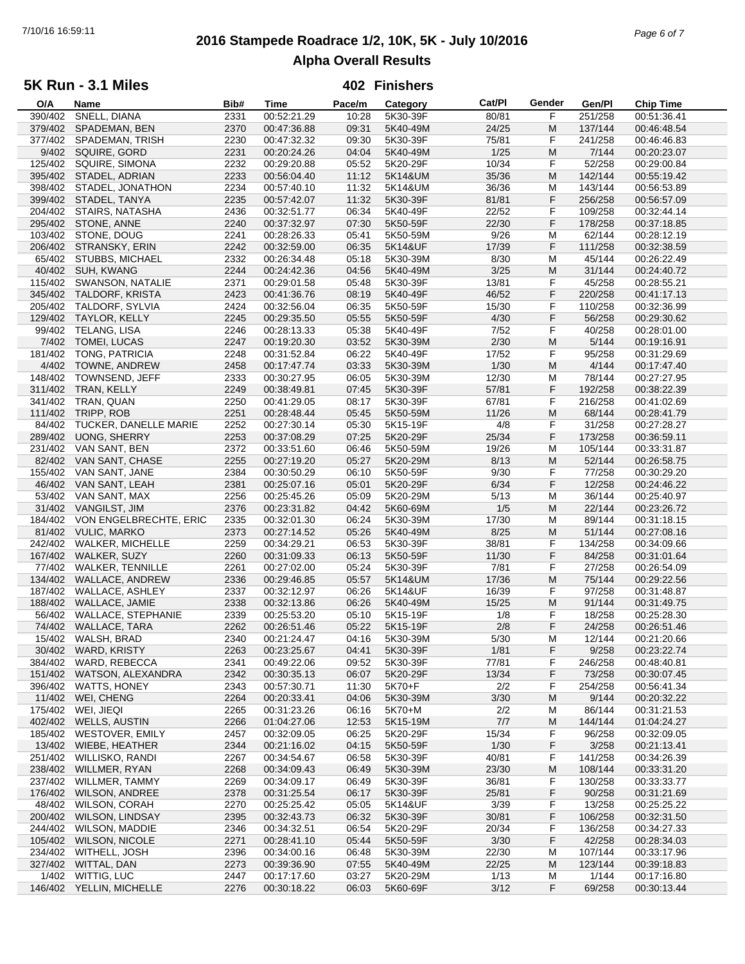# **2016 Stampede Roadrace 1/2, 10K, 5K - July 10/2016** 7/10/16 16:59:11 *Page 6 of 7* **Alpha Overall Results**

### **5K Run - 3.1 Miles**

| O/A     | Name                      | Bib# | Time        | Pace/m | Category | Cat/PI | Gender | Gen/Pl  | <b>Chip Time</b> |
|---------|---------------------------|------|-------------|--------|----------|--------|--------|---------|------------------|
| 390/402 | SNELL, DIANA              | 2331 | 00:52:21.29 | 10:28  | 5K30-39F | 80/81  | F      | 251/258 | 00:51:36.41      |
| 379/402 | SPADEMAN, BEN             | 2370 | 00:47:36.88 | 09:31  | 5K40-49M | 24/25  | М      | 137/144 | 00:46:48.54      |
| 377/402 |                           |      |             |        |          |        | F      | 241/258 |                  |
|         | SPADEMAN, TRISH           | 2230 | 00:47:32.32 | 09:30  | 5K30-39F | 75/81  |        |         | 00:46:46.83      |
| 9/402   | SQUIRE, GORD              | 2231 | 00:20:24.26 | 04:04  | 5K40-49M | 1/25   | M      | 7/144   | 00:20:23.07      |
| 125/402 | SQUIRE, SIMONA            | 2232 | 00:29:20.88 | 05:52  | 5K20-29F | 10/34  | F      | 52/258  | 00:29:00.84      |
| 395/402 | STADEL, ADRIAN            | 2233 | 00:56:04.40 | 11:12  | 5K14&UM  | 35/36  | M      | 142/144 | 00:55:19.42      |
| 398/402 | STADEL, JONATHON          | 2234 | 00:57:40.10 | 11:32  | 5K14&UM  | 36/36  | М      | 143/144 | 00:56:53.89      |
| 399/402 | STADEL, TANYA             | 2235 | 00:57:42.07 | 11:32  | 5K30-39F | 81/81  | F      | 256/258 | 00:56:57.09      |
| 204/402 | <b>STAIRS, NATASHA</b>    | 2436 | 00:32:51.77 | 06:34  | 5K40-49F | 22/52  | F      | 109/258 | 00:32:44.14      |
|         |                           |      |             |        |          |        |        |         |                  |
| 295/402 | STONE, ANNE               | 2240 | 00:37:32.97 | 07:30  | 5K50-59F | 22/30  | F      | 178/258 | 00:37:18.85      |
| 103/402 | STONE, DOUG               | 2241 | 00:28:26.33 | 05:41  | 5K50-59M | 9/26   | М      | 62/144  | 00:28:12.19      |
| 206/402 | STRANSKY, ERIN            | 2242 | 00:32:59.00 | 06:35  | 5K14&UF  | 17/39  | F      | 111/258 | 00:32:38.59      |
| 65/402  | STUBBS, MICHAEL           | 2332 | 00:26:34.48 | 05:18  | 5K30-39M | 8/30   | M      | 45/144  | 00:26:22.49      |
| 40/402  | SUH, KWANG                | 2244 | 00:24:42.36 | 04:56  | 5K40-49M | 3/25   | M      | 31/144  | 00:24:40.72      |
| 115/402 | SWANSON, NATALIE          | 2371 | 00:29:01.58 | 05:48  | 5K30-39F | 13/81  | F      | 45/258  | 00:28:55.21      |
| 345/402 | TALDORF, KRISTA           | 2423 | 00:41:36.76 | 08:19  | 5K40-49F | 46/52  | F      | 220/258 | 00:41:17.13      |
|         |                           |      |             |        |          |        |        |         |                  |
| 205/402 | TALDORF, SYLVIA           | 2424 | 00:32:56.04 | 06:35  | 5K50-59F | 15/30  | F      | 110/258 | 00:32:36.99      |
| 129/402 | TAYLOR, KELLY             | 2245 | 00:29:35.50 | 05:55  | 5K50-59F | 4/30   | F      | 56/258  | 00:29:30.62      |
| 99/402  | TELANG, LISA              | 2246 | 00:28:13.33 | 05:38  | 5K40-49F | 7/52   | F      | 40/258  | 00:28:01.00      |
| 7/402   | TOMEI, LUCAS              | 2247 | 00:19:20.30 | 03:52  | 5K30-39M | 2/30   | M      | 5/144   | 00:19:16.91      |
| 181/402 | <b>TONG, PATRICIA</b>     | 2248 | 00:31:52.84 | 06:22  | 5K40-49F | 17/52  | F      | 95/258  | 00:31:29.69      |
| 4/402   | TOWNE, ANDREW             | 2458 | 00:17:47.74 | 03:33  | 5K30-39M | 1/30   | M      | 4/144   | 00:17:47.40      |
|         |                           |      |             |        |          |        |        |         |                  |
| 148/402 | TOWNSEND, JEFF            | 2333 | 00:30:27.95 | 06:05  | 5K30-39M | 12/30  | M      | 78/144  | 00:27:27.95      |
| 311/402 | TRAN, KELLY               | 2249 | 00:38:49.81 | 07:45  | 5K30-39F | 57/81  | F      | 192/258 | 00:38:22.39      |
| 341/402 | TRAN, QUAN                | 2250 | 00:41:29.05 | 08:17  | 5K30-39F | 67/81  | F      | 216/258 | 00:41:02.69      |
| 111/402 | TRIPP, ROB                | 2251 | 00:28:48.44 | 05:45  | 5K50-59M | 11/26  | M      | 68/144  | 00:28:41.79      |
| 84/402  | TUCKER, DANELLE MARIE     | 2252 | 00:27:30.14 | 05:30  | 5K15-19F | 4/8    | F      | 31/258  | 00:27:28.27      |
| 289/402 | <b>UONG, SHERRY</b>       | 2253 | 00:37:08.29 | 07:25  | 5K20-29F | 25/34  | F      | 173/258 | 00:36:59.11      |
| 231/402 |                           |      |             |        |          |        |        |         |                  |
|         | VAN SANT, BEN             | 2372 | 00:33:51.60 | 06:46  | 5K50-59M | 19/26  | М      | 105/144 | 00:33:31.87      |
| 82/402  | VAN SANT, CHASE           | 2255 | 00:27:19.20 | 05:27  | 5K20-29M | 8/13   | M      | 52/144  | 00:26:58.75      |
| 155/402 | VAN SANT, JANE            | 2384 | 00:30:50.29 | 06:10  | 5K50-59F | 9/30   | F      | 77/258  | 00:30:29.20      |
| 46/402  | VAN SANT, LEAH            | 2381 | 00:25:07.16 | 05:01  | 5K20-29F | 6/34   | F      | 12/258  | 00:24:46.22      |
| 53/402  | VAN SANT, MAX             | 2256 | 00:25:45.26 | 05:09  | 5K20-29M | 5/13   | М      | 36/144  | 00:25:40.97      |
| 31/402  | VANGILST, JIM             | 2376 | 00:23:31.82 | 04:42  | 5K60-69M | 1/5    | M      | 22/144  | 00:23:26.72      |
|         |                           |      |             |        |          | 17/30  |        |         |                  |
| 184/402 | VON ENGELBRECHTE, ERIC    | 2335 | 00:32:01.30 | 06:24  | 5K30-39M |        | М      | 89/144  | 00:31:18.15      |
| 81/402  | <b>VULIC, MARKO</b>       | 2373 | 00:27:14.52 | 05:26  | 5K40-49M | 8/25   | M      | 51/144  | 00:27:08.16      |
| 242/402 | WALKER, MICHELLE          | 2259 | 00:34:29.21 | 06:53  | 5K30-39F | 38/81  | F      | 134/258 | 00:34:09.66      |
| 167/402 | WALKER, SUZY              | 2260 | 00:31:09.33 | 06:13  | 5K50-59F | 11/30  | F      | 84/258  | 00:31:01.64      |
| 77/402  | <b>WALKER, TENNILLE</b>   | 2261 | 00:27:02.00 | 05:24  | 5K30-39F | 7/81   | F      | 27/258  | 00:26:54.09      |
| 134/402 | WALLACE, ANDREW           | 2336 | 00:29:46.85 | 05:57  | 5K14&UM  | 17/36  | M      | 75/144  | 00:29:22.56      |
| 187/402 | <b>WALLACE, ASHLEY</b>    | 2337 | 00:32:12.97 | 06:26  | 5K14&UF  | 16/39  | F      | 97/258  | 00:31:48.87      |
| 188/402 | <b>WALLACE, JAMIE</b>     | 2338 | 00:32:13.86 | 06:26  | 5K40-49M | 15/25  | M      | 91/144  | 00:31:49.75      |
|         |                           |      |             |        |          |        |        |         |                  |
| 56/402  | <b>WALLACE, STEPHANIE</b> | 2339 | 00:25:53.20 | 05:10  | 5K15-19F | 1/8    | F      | 18/258  | 00:25:28.30      |
| 74/402  | <b>WALLACE, TARA</b>      | 2262 | 00:26:51.46 | 05:22  | 5K15-19F | 2/8    | F      | 24/258  | 00:26:51.46      |
|         | 15/402 WALSH, BRAD        | 2340 | 00:21:24.47 | 04:16  | 5K30-39M | 5/30   | M      | 12/144  | 00:21:20.66      |
|         | 30/402 WARD, KRISTY       | 2263 | 00:23:25.67 | 04:41  | 5K30-39F | 1/81   | F      | 9/258   | 00:23:22.74      |
| 384/402 | WARD, REBECCA             | 2341 | 00:49:22.06 | 09:52  | 5K30-39F | 77/81  | F      | 246/258 | 00:48:40.81      |
| 151/402 | WATSON, ALEXANDRA         | 2342 | 00:30:35.13 | 06:07  | 5K20-29F | 13/34  | F      | 73/258  | 00:30:07.45      |
| 396/402 |                           | 2343 | 00:57:30.71 |        | 5K70+F   | 2/2    | F      | 254/258 | 00:56:41.34      |
|         | WATTS, HONEY              |      |             | 11:30  |          |        |        |         |                  |
| 11/402  | WEI, CHENG                | 2264 | 00:20:33.41 | 04:06  | 5K30-39M | 3/30   | M      | 9/144   | 00:20:32.22      |
| 175/402 | WEI, JIEQI                | 2265 | 00:31:23.26 | 06:16  | 5K70+M   | 2/2    | М      | 86/144  | 00:31:21.53      |
| 402/402 | <b>WELLS, AUSTIN</b>      | 2266 | 01:04:27.06 | 12:53  | 5K15-19M | 7/7    | M      | 144/144 | 01:04:24.27      |
| 185/402 | WESTOVER, EMILY           | 2457 | 00:32:09.05 | 06:25  | 5K20-29F | 15/34  | F      | 96/258  | 00:32:09.05      |
| 13/402  | <b>WIEBE, HEATHER</b>     | 2344 | 00:21:16.02 | 04:15  | 5K50-59F | 1/30   | F      | 3/258   | 00:21:13.41      |
| 251/402 | WILLISKO, RANDI           | 2267 | 00:34:54.67 | 06:58  | 5K30-39F | 40/81  | F      | 141/258 | 00:34:26.39      |
|         |                           |      |             |        |          |        |        |         |                  |
| 238/402 | WILLMER, RYAN             | 2268 | 00:34:09.43 | 06:49  | 5K30-39M | 23/30  | M      | 108/144 | 00:33:31.20      |
| 237/402 | <b>WILLMER, TAMMY</b>     | 2269 | 00:34:09.17 | 06:49  | 5K30-39F | 36/81  | F      | 130/258 | 00:33:33.77      |
| 176/402 | <b>WILSON, ANDREE</b>     | 2378 | 00:31:25.54 | 06:17  | 5K30-39F | 25/81  | F      | 90/258  | 00:31:21.69      |
| 48/402  | <b>WILSON, CORAH</b>      | 2270 | 00:25:25.42 | 05:05  | 5K14&UF  | 3/39   | F      | 13/258  | 00:25:25.22      |
| 200/402 | <b>WILSON, LINDSAY</b>    | 2395 | 00:32:43.73 | 06:32  | 5K30-39F | 30/81  | F      | 106/258 | 00:32:31.50      |
| 244/402 | <b>WILSON, MADDIE</b>     | 2346 | 00:34:32.51 | 06:54  | 5K20-29F | 20/34  | F      | 136/258 | 00:34:27.33      |
| 105/402 | <b>WILSON, NICOLE</b>     | 2271 | 00:28:41.10 |        | 5K50-59F | 3/30   | F      | 42/258  | 00:28:34.03      |
|         |                           |      |             | 05:44  |          |        |        |         |                  |
| 234/402 | WITHELL, JOSH             | 2396 | 00:34:00.16 | 06:48  | 5K30-39M | 22/30  | M      | 107/144 | 00:33:17.96      |
| 327/402 | WITTAL, DAN               | 2273 | 00:39:36.90 | 07:55  | 5K40-49M | 22/25  | M      | 123/144 | 00:39:18.83      |
| 1/402   | WITTIG, LUC               | 2447 | 00:17:17.60 | 03:27  | 5K20-29M | 1/13   | M      | 1/144   | 00:17:16.80      |
|         | 146/402 YELLIN, MICHELLE  | 2276 | 00:30:18.22 | 06:03  | 5K60-69F | 3/12   | F      | 69/258  | 00:30:13.44      |